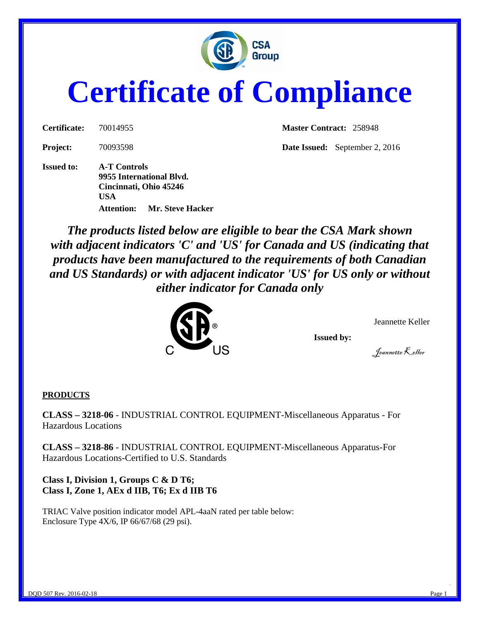

# **Certificate of Compliance**

**Issued to: A-T Controls 9955 International Blvd. Cincinnati, Ohio 45246 USA Attention: Mr. Steve Hacker**

**Certificate:** 70014955 **Master Contract:** 258948

**Project:** 70093598 **Date Issued:** September 2, 2016

*The products listed below are eligible to bear the CSA Mark shown with adjacent indicators 'C' and 'US' for Canada and US (indicating that products have been manufactured to the requirements of both Canadian and US Standards) or with adjacent indicator 'US' for US only or without either indicator for Canada only* 



Jeannette Keller

**Issued by:**

Jeannette Keller

#### **PRODUCTS**

**CLASS – 3218-06** - INDUSTRIAL CONTROL EQUIPMENT-Miscellaneous Apparatus - For Hazardous Locations

**CLASS – 3218-86** - INDUSTRIAL CONTROL EQUIPMENT-Miscellaneous Apparatus-For Hazardous Locations-Certified to U.S. Standards

**Class I, Division 1, Groups C & D T6; Class I, Zone 1, AEx d IIB, T6; Ex d IIB T6**

TRIAC Valve position indicator model APL-4aaN rated per table below: Enclosure Type 4X/6, IP 66/67/68 (29 psi).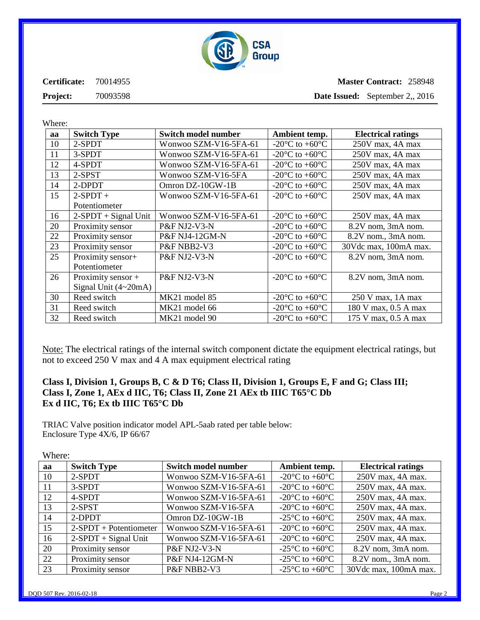

**Certificate:** 70014955 **Project:** 70093598

## **Master Contract:** 258948 **Date Issued:** September 2,, 2016

Where:

| aa | <b>Switch Type</b>      | <b>Switch model number</b> | Ambient temp.                                        | <b>Electrical ratings</b> |
|----|-------------------------|----------------------------|------------------------------------------------------|---------------------------|
| 10 | 2-SPDT                  | Wonwoo SZM-V16-5FA-61      | -20 $\mathrm{^{\circ}C}$ to +60 $\mathrm{^{\circ}C}$ | 250V max, 4A max          |
| 11 | 3-SPDT                  | Wonwoo SZM-V16-5FA-61      | -20 $\rm{^{\circ}C}$ to +60 $\rm{^{\circ}C}$         | 250V max, 4A max          |
| 12 | 4-SPDT                  | Wonwoo SZM-V16-5FA-61      | -20 $\mathrm{^{\circ}C}$ to +60 $\mathrm{^{\circ}C}$ | 250V max, 4A max          |
| 13 | 2-SPST                  | Wonwoo SZM-V16-5FA         | -20 $\mathrm{^{\circ}C}$ to +60 $\mathrm{^{\circ}C}$ | 250V max, 4A max          |
| 14 | 2-DPDT                  | Omron DZ-10GW-1B           | -20 $\rm{^{\circ}C}$ to +60 $\rm{^{\circ}C}$         | 250V max, 4A max          |
| 15 | $2-SPDT+$               | Wonwoo SZM-V16-5FA-61      | -20 $\rm{^{\circ}C}$ to +60 $\rm{^{\circ}C}$         | 250V max, 4A max          |
|    | Potentiometer           |                            |                                                      |                           |
| 16 | $2$ -SPDT + Signal Unit | Wonwoo SZM-V16-5FA-61      | -20 $\mathrm{^{\circ}C}$ to +60 $\mathrm{^{\circ}C}$ | 250V max, 4A max          |
| 20 | Proximity sensor        | P&F NJ2-V3-N               | -20 $\rm{^{\circ}C}$ to +60 $\rm{^{\circ}C}$         | 8.2V nom, 3mA nom.        |
| 22 | Proximity sensor        | P&F NJ4-12GM-N             | -20 $\rm{^{\circ}C}$ to +60 $\rm{^{\circ}C}$         | 8.2V nom., 3mA nom.       |
| 23 | Proximity sensor        | P&F NBB2-V3                | -20 $\rm{^{\circ}C}$ to +60 $\rm{^{\circ}C}$         | 30Vdc max, 100mA max.     |
| 25 | Proximity sensor+       | P&F NJ2-V3-N               | -20 $\rm{^{\circ}C}$ to +60 $\rm{^{\circ}C}$         | 8.2V nom, 3mA nom.        |
|    | Potentiometer           |                            |                                                      |                           |
| 26 | Proximity sensor +      | P&F NJ2-V3-N               | -20 $\rm{^{\circ}C}$ to +60 $\rm{^{\circ}C}$         | 8.2V nom, 3mA nom.        |
|    | Signal Unit $(4~20mA)$  |                            |                                                      |                           |
| 30 | Reed switch             | MK21 model 85              | -20 $\rm{^{\circ}C}$ to +60 $\rm{^{\circ}C}$         | 250 V max, 1A max         |
| 31 | Reed switch             | MK21 model 66              | -20 $\rm{^{\circ}C}$ to +60 $\rm{^{\circ}C}$         | 180 V max, 0.5 A max      |
| 32 | Reed switch             | MK21 model 90              | $-20^{\circ}$ C to $+60^{\circ}$ C                   | 175 V max, 0.5 A max      |

Note: The electrical ratings of the internal switch component dictate the equipment electrical ratings, but not to exceed 250 V max and 4 A max equipment electrical rating

#### **Class I, Division 1, Groups B, C & D T6; Class II, Division 1, Groups E, F and G; Class III; Class I, Zone 1, AEx d IIC, T6; Class II, Zone 21 AEx tb IIIC T65°C Db Ex d IIC, T6; Ex tb IIIC T65°C Db**

TRIAC Valve position indicator model APL-5aab rated per table below: Enclosure Type 4X/6, IP 66/67

| WHELE. |                           |                            |                                                      |                           |
|--------|---------------------------|----------------------------|------------------------------------------------------|---------------------------|
| aa     | <b>Switch Type</b>        | <b>Switch model number</b> | Ambient temp.                                        | <b>Electrical ratings</b> |
| 10     | 2-SPDT                    | Wonwoo SZM-V16-5FA-61      | -20 $\mathrm{^{\circ}C}$ to +60 $\mathrm{^{\circ}C}$ | 250V max, 4A max.         |
| 11     | 3-SPDT                    | Wonwoo SZM-V16-5FA-61      | -20 $\mathrm{^{\circ}C}$ to +60 $\mathrm{^{\circ}C}$ | 250V max, 4A max.         |
| 12     | 4-SPDT                    | Wonwoo SZM-V16-5FA-61      | -20 $\mathrm{^{\circ}C}$ to +60 $\mathrm{^{\circ}C}$ | 250V max, 4A max.         |
| 13     | $2-SPST$                  | Wonwoo SZM-V16-5FA         | -20 $\mathrm{^{\circ}C}$ to +60 $\mathrm{^{\circ}C}$ | 250V max, 4A max.         |
| 14     | 2-DPDT                    | Omron $DZ-10GW-1B$         | -25 $\mathrm{^{\circ}C}$ to +60 $\mathrm{^{\circ}C}$ | 250V max, 4A max.         |
| 15     | $2$ -SPDT + Potentiometer | Wonwoo SZM-V16-5FA-61      | -20 $\mathrm{^{\circ}C}$ to +60 $\mathrm{^{\circ}C}$ | 250V max, 4A max.         |
| 16     | $2$ -SPDT + Signal Unit   | Wonwoo SZM-V16-5FA-61      | -20 $\mathrm{^{\circ}C}$ to +60 $\mathrm{^{\circ}C}$ | 250V max, 4A max.         |
| 20     | Proximity sensor          | P&F NJ2-V3-N               | -25 $\mathrm{^{\circ}C}$ to +60 $\mathrm{^{\circ}C}$ | 8.2V nom, 3mA nom.        |
| 22     | Proximity sensor          | P&F NJ4-12GM-N             | -25 $\mathrm{^{\circ}C}$ to +60 $\mathrm{^{\circ}C}$ | 8.2V nom., 3mA nom.       |
| 23     | Proximity sensor          | P&F NBB2-V3                | -25 $\mathrm{^{\circ}C}$ to +60 $\mathrm{^{\circ}C}$ | 30Vdc max, 100mA max.     |

Where: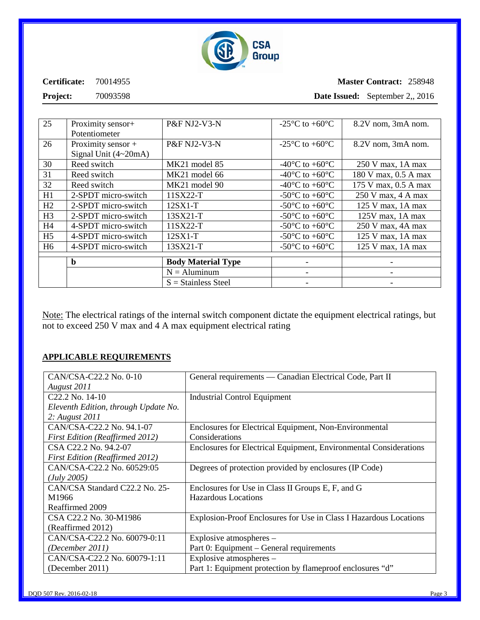

# **Certificate:** 70014955

### **Master Contract:** 258948

**Project:** 70093598

**Date Issued:** September 2,, 2016

| 25             | Proximity sensor+      | P&F NJ2-V3-N              | -25 $\mathrm{^{\circ}C}$ to +60 $\mathrm{^{\circ}C}$ | 8.2V nom, 3mA nom.   |
|----------------|------------------------|---------------------------|------------------------------------------------------|----------------------|
|                | Potentiometer          |                           |                                                      |                      |
| 26             | Proximity sensor +     | P&F NJ2-V3-N              | -25 $\mathrm{^{\circ}C}$ to +60 $\mathrm{^{\circ}C}$ | 8.2V nom, 3mA nom.   |
|                | Signal Unit $(4~20mA)$ |                           |                                                      |                      |
| 30             | Reed switch            | MK21 model 85             | -40 $\rm{^{\circ}C}$ to +60 $\rm{^{\circ}C}$         | 250 V max, 1A max    |
| 31             | Reed switch            | MK21 model 66             | -40 $\mathrm{^{\circ}C}$ to +60 $\mathrm{^{\circ}C}$ | 180 V max, 0.5 A max |
| 32             | Reed switch            | MK21 model 90             | -40 $\mathrm{^{\circ}C}$ to +60 $\mathrm{^{\circ}C}$ | 175 V max, 0.5 A max |
| H1             | 2-SPDT micro-switch    | $11SX22-T$                | -50 $\mathrm{^{\circ}C}$ to +60 $\mathrm{^{\circ}C}$ | 250 V max, 4 A max   |
| H2             | 2-SPDT micro-switch    | $12SX1-T$                 | -50 $\mathrm{^{\circ}C}$ to +60 $\mathrm{^{\circ}C}$ | 125 V max, 1A max    |
| H <sub>3</sub> | 2-SPDT micro-switch    | 13SX21-T                  | -50 $\mathrm{^{\circ}C}$ to +60 $\mathrm{^{\circ}C}$ | 125V max, 1A max     |
| H <sub>4</sub> | 4-SPDT micro-switch    | 11SX22-T                  | -50 $\mathrm{^{\circ}C}$ to +60 $\mathrm{^{\circ}C}$ | 250 V max, 4A max    |
| H <sub>5</sub> | 4-SPDT micro-switch    | $12SX1-T$                 | -50 $\mathrm{^{\circ}C}$ to +60 $\mathrm{^{\circ}C}$ | 125 V max, 1A max    |
| H <sub>6</sub> | 4-SPDT micro-switch    | 13SX21-T                  | -50 $\mathrm{^{\circ}C}$ to +60 $\mathrm{^{\circ}C}$ | $125$ V max, 1A max  |
|                |                        |                           |                                                      |                      |
|                | b                      | <b>Body Material Type</b> |                                                      |                      |
|                |                        | $N =$ Aluminum            |                                                      |                      |
|                |                        | $S =$ Stainless Steel     |                                                      |                      |

Note: The electrical ratings of the internal switch component dictate the equipment electrical ratings, but not to exceed 250 V max and 4 A max equipment electrical rating

#### **APPLICABLE REQUIREMENTS**

| CAN/CSA-C22.2 No. 0-10                 | General requirements — Canadian Electrical Code, Part II          |
|----------------------------------------|-------------------------------------------------------------------|
| August 2011                            |                                                                   |
| C22.2 No. 14-10                        | <b>Industrial Control Equipment</b>                               |
| Eleventh Edition, through Update No.   |                                                                   |
| 2: August 2011                         |                                                                   |
| CAN/CSA-C22.2 No. 94.1-07              | Enclosures for Electrical Equipment, Non-Environmental            |
| <b>First Edition (Reaffirmed 2012)</b> | Considerations                                                    |
| CSA C22.2 No. 94.2-07                  | Enclosures for Electrical Equipment, Environmental Considerations |
| <b>First Edition (Reaffirmed 2012)</b> |                                                                   |
| CAN/CSA-C22.2 No. 60529:05             | Degrees of protection provided by enclosures (IP Code)            |
| (July 2005)                            |                                                                   |
| CAN/CSA Standard C22.2 No. 25-         | Enclosures for Use in Class II Groups E, F, and G                 |
| M1966                                  | Hazardous Locations                                               |
| Reaffirmed 2009                        |                                                                   |
| CSA C22.2 No. 30-M1986                 | Explosion-Proof Enclosures for Use in Class I Hazardous Locations |
| (Reaffirmed 2012)                      |                                                                   |
| CAN/CSA-C22.2 No. 60079-0:11           | Explosive atmospheres –                                           |
| (December 2011)                        | Part 0: Equipment – General requirements                          |
| CAN/CSA-C22.2 No. 60079-1:11           | Explosive atmospheres –                                           |
| (December 2011)                        | Part 1: Equipment protection by flameproof enclosures "d"         |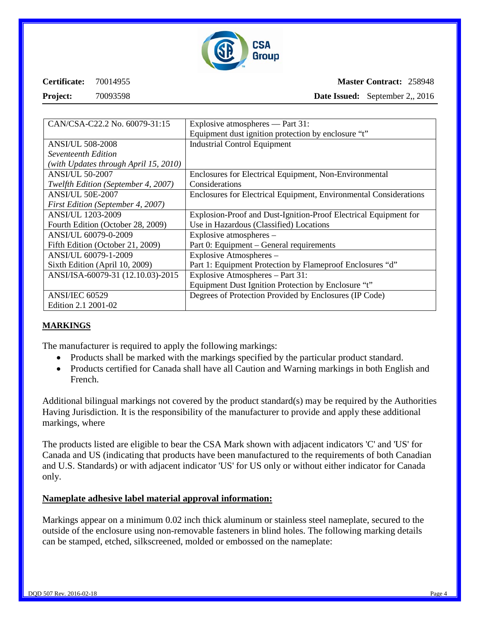

**Certificate:** 70014955

**Project:** 70093598

#### **Master Contract:** 258948

**Date Issued:** September 2,, 2016

| CAN/CSA-C22.2 No. 60079-31:15            | Explosive atmospheres — Part 31:                                  |
|------------------------------------------|-------------------------------------------------------------------|
|                                          | Equipment dust ignition protection by enclosure "t"               |
| <b>ANSI/UL 508-2008</b>                  | <b>Industrial Control Equipment</b>                               |
| Seventeenth Edition                      |                                                                   |
| (with Updates through April 15, 2010)    |                                                                   |
| <b>ANSI/UL 50-2007</b>                   | Enclosures for Electrical Equipment, Non-Environmental            |
| Twelfth Edition (September 4, 2007)      | Considerations                                                    |
| <b>ANSI/UL 50E-2007</b>                  | Enclosures for Electrical Equipment, Environmental Considerations |
| <b>First Edition (September 4, 2007)</b> |                                                                   |
| ANSI/UL 1203-2009                        | Explosion-Proof and Dust-Ignition-Proof Electrical Equipment for  |
| Fourth Edition (October 28, 2009)        | Use in Hazardous (Classified) Locations                           |
| ANSI/UL 60079-0-2009                     | Explosive atmospheres –                                           |
| Fifth Edition (October 21, 2009)         | Part 0: Equipment – General requirements                          |
| ANSI/UL 60079-1-2009                     | Explosive Atmospheres -                                           |
| Sixth Edition (April 10, 2009)           | Part 1: Equipment Protection by Flameproof Enclosures "d"         |
| ANSI/ISA-60079-31 (12.10.03)-2015        | Explosive Atmospheres – Part 31:                                  |
|                                          | Equipment Dust Ignition Protection by Enclosure "t"               |
| <b>ANSI/IEC 60529</b>                    | Degrees of Protection Provided by Enclosures (IP Code)            |
| Edition 2.1 2001-02                      |                                                                   |

#### **MARKINGS**

The manufacturer is required to apply the following markings:

- Products shall be marked with the markings specified by the particular product standard.
- Products certified for Canada shall have all Caution and Warning markings in both English and French.

Additional bilingual markings not covered by the product standard(s) may be required by the Authorities Having Jurisdiction. It is the responsibility of the manufacturer to provide and apply these additional markings, where

The products listed are eligible to bear the CSA Mark shown with adjacent indicators 'C' and 'US' for Canada and US (indicating that products have been manufactured to the requirements of both Canadian and U.S. Standards) or with adjacent indicator 'US' for US only or without either indicator for Canada only.

#### **Nameplate adhesive label material approval information:**

Markings appear on a minimum 0.02 inch thick aluminum or stainless steel nameplate, secured to the outside of the enclosure using non-removable fasteners in blind holes. The following marking details can be stamped, etched, silkscreened, molded or embossed on the nameplate: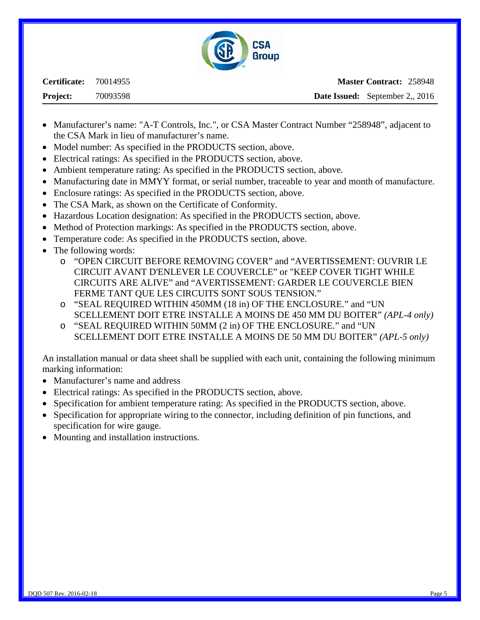

**Certificate:** 70014955 **Project:** 70093598

**Master Contract:** 258948 **Date Issued:** September 2,, 2016

- Manufacturer's name: "A-T Controls, Inc.", or CSA Master Contract Number "258948", adjacent to the CSA Mark in lieu of manufacturer's name.
- Model number: As specified in the PRODUCTS section, above.
- Electrical ratings: As specified in the PRODUCTS section, above.
- Ambient temperature rating: As specified in the PRODUCTS section, above.
- Manufacturing date in MMYY format, or serial number, traceable to year and month of manufacture.
- Enclosure ratings: As specified in the PRODUCTS section, above.
- The CSA Mark, as shown on the Certificate of Conformity.
- Hazardous Location designation: As specified in the PRODUCTS section, above.
- Method of Protection markings: As specified in the PRODUCTS section, above.
- Temperature code: As specified in the PRODUCTS section, above.
- The following words:
	- o "OPEN CIRCUIT BEFORE REMOVING COVER" and "AVERTISSEMENT: OUVRIR LE CIRCUIT AVANT D'ENLEVER LE COUVERCLE" or "KEEP COVER TIGHT WHILE CIRCUITS ARE ALIVE" and "AVERTISSEMENT: GARDER LE COUVERCLE BIEN FERME TANT QUE LES CIRCUITS SONT SOUS TENSION."
	- o "SEAL REQUIRED WITHIN 450MM (18 in) OF THE ENCLOSURE." and "UN SCELLEMENT DOIT ETRE INSTALLE A MOINS DE 450 MM DU BOITER" *(APL-4 only)*
	- o "SEAL REQUIRED WITHIN 50MM (2 in) OF THE ENCLOSURE." and "UN SCELLEMENT DOIT ETRE INSTALLE A MOINS DE 50 MM DU BOITER" *(APL-5 only)*

An installation manual or data sheet shall be supplied with each unit, containing the following minimum marking information:

- Manufacturer's name and address
- Electrical ratings: As specified in the PRODUCTS section, above.
- Specification for ambient temperature rating: As specified in the PRODUCTS section, above.
- Specification for appropriate wiring to the connector, including definition of pin functions, and specification for wire gauge.
- Mounting and installation instructions.